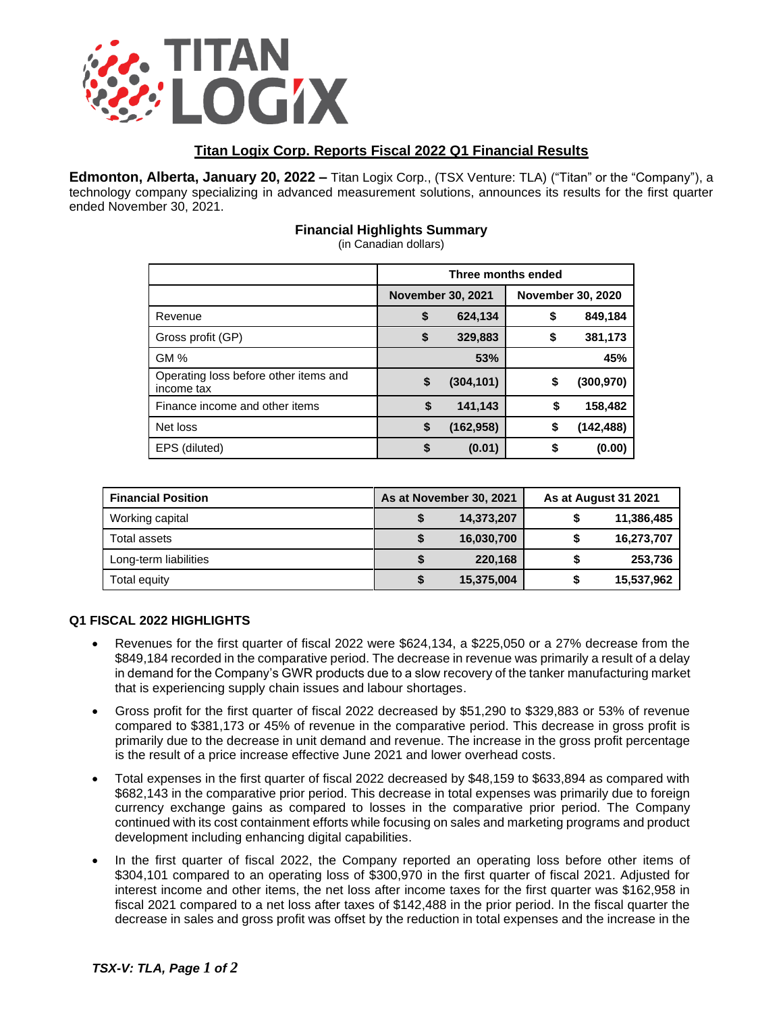

# **Titan Logix Corp. Reports Fiscal 2022 Q1 Financial Results**

**Edmonton, Alberta, January 20, 2022 –** Titan Logix Corp., (TSX Venture: TLA) ("Titan" or the "Company"), a technology company specializing in advanced measurement solutions, announces its results for the first quarter ended November 30, 2021.

## **Financial Highlights Summary**

(in Canadian dollars)

|                                                     | Three months ended       |            |                          |            |  |
|-----------------------------------------------------|--------------------------|------------|--------------------------|------------|--|
|                                                     | <b>November 30, 2021</b> |            | <b>November 30, 2020</b> |            |  |
| Revenue                                             | \$                       | 624,134    | \$                       | 849,184    |  |
| Gross profit (GP)                                   | \$                       | 329,883    | \$                       | 381,173    |  |
| GM %                                                |                          | 53%        |                          | 45%        |  |
| Operating loss before other items and<br>income tax | \$                       | (304, 101) | \$                       | (300, 970) |  |
| Finance income and other items                      | S                        | 141,143    | \$                       | 158,482    |  |
| Net loss                                            | \$                       | (162, 958) | \$                       | (142,488)  |  |
| EPS (diluted)                                       |                          | (0.01)     | S                        | (0.00)     |  |

| <b>Financial Position</b> | As at November 30, 2021 |            | As at August 31 2021 |            |
|---------------------------|-------------------------|------------|----------------------|------------|
| Working capital           |                         | 14,373,207 |                      | 11,386,485 |
| Total assets              |                         | 16,030,700 |                      | 16,273,707 |
| Long-term liabilities     |                         | 220,168    |                      | 253,736    |
| Total equity              |                         | 15,375,004 |                      | 15,537,962 |

### **Q1 FISCAL 2022 HIGHLIGHTS**

- Revenues for the first quarter of fiscal 2022 were \$624,134, a \$225,050 or a 27% decrease from the \$849,184 recorded in the comparative period. The decrease in revenue was primarily a result of a delay in demand for the Company's GWR products due to a slow recovery of the tanker manufacturing market that is experiencing supply chain issues and labour shortages.
- Gross profit for the first quarter of fiscal 2022 decreased by \$51,290 to \$329,883 or 53% of revenue compared to \$381,173 or 45% of revenue in the comparative period. This decrease in gross profit is primarily due to the decrease in unit demand and revenue. The increase in the gross profit percentage is the result of a price increase effective June 2021 and lower overhead costs.
- Total expenses in the first quarter of fiscal 2022 decreased by \$48,159 to \$633,894 as compared with \$682,143 in the comparative prior period. This decrease in total expenses was primarily due to foreign currency exchange gains as compared to losses in the comparative prior period. The Company continued with its cost containment efforts while focusing on sales and marketing programs and product development including enhancing digital capabilities.
- In the first quarter of fiscal 2022, the Company reported an operating loss before other items of \$304,101 compared to an operating loss of \$300,970 in the first quarter of fiscal 2021. Adjusted for interest income and other items, the net loss after income taxes for the first quarter was \$162,958 in fiscal 2021 compared to a net loss after taxes of \$142,488 in the prior period. In the fiscal quarter the decrease in sales and gross profit was offset by the reduction in total expenses and the increase in the